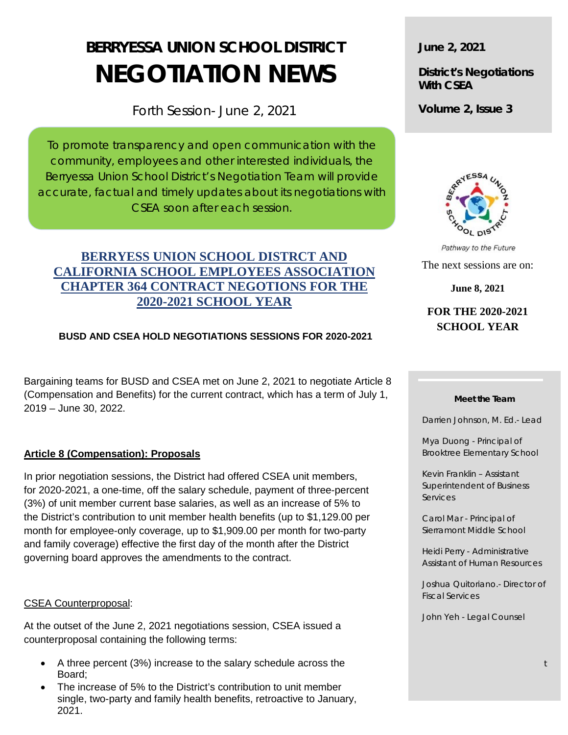# **BERRYESSA UNION SCHOOL DISTRICT NEGOTIATION NEWS**

Forth Session- June 2, 2021

To promote transparency and open communication with the community, employees and other interested individuals, the Berryessa Union School District's Negotiation Team will provide accurate, factual and timely updates about its negotiations with CSEA soon after each session.

## **BERRYESS UNION SCHOOL DISTRCT AND CALIFORNIA SCHOOL EMPLOYEES ASSOCIATION CHAPTER 364 CONTRACT NEGOTIONS FOR THE 2020-2021 SCHOOL YEAR**

### **BUSD AND CSEA HOLD NEGOTIATIONS SESSIONS FOR 2020-2021**

Bargaining teams for BUSD and CSEA met on June 2, 2021 to negotiate Article 8 (Compensation and Benefits) for the current contract, which has a term of July 1, 2019 – June 30, 2022.

#### **Article 8 (Compensation): Proposals**

In prior negotiation sessions, the District had offered CSEA unit members, for 2020-2021, a one-time, off the salary schedule, payment of three-percent (3%) of unit member current base salaries, as well as an increase of 5% to the District's contribution to unit member health benefits (up to \$1,129.00 per month for employee-only coverage, up to \$1,909.00 per month for two-party and family coverage) effective the first day of the month after the District governing board approves the amendments to the contract.

#### CSEA Counterproposal:

At the outset of the June 2, 2021 negotiations session, CSEA issued a counterproposal containing the following terms:

- A three percent (3%) increase to the salary schedule across the Board;
- The increase of 5% to the District's contribution to unit member single, two-party and family health benefits, retroactive to January, 2021.

**June 2, 2021**

**District's Negotiations With CSEA**

**Volume 2, Issue 3**



Pathway to the Future The next sessions are on: **June 8, 2021**

**FOR THE 2020-2021 SCHOOL YEAR**

#### **Meet the Team**

Darrien Johnson, M. Ed.- Lead

Mya Duong - Principal of Brooktree Elementary School

Kevin Franklin – Assistant Superintendent of Business **Services** 

Carol Mar - Principal of Sierramont Middle School

Heidi Perry - Administrative Assistant of Human Resources

Joshua Quitoriano.- Director of Fiscal Services

John Yeh - Legal Counsel